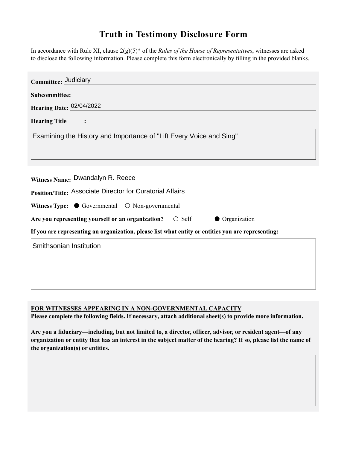## **Truth in Testimony Disclosure Form**

In accordance with Rule XI, clause 2(g)(5)\* of the *Rules of the House of Representatives*, witnesses are asked to disclose the following information. Please complete this form electronically by filling in the provided blanks.

| Committee: Judiciary                                                                               |
|----------------------------------------------------------------------------------------------------|
|                                                                                                    |
| <b>Hearing Date: 02/04/2022</b>                                                                    |
| <b>Hearing Title</b>                                                                               |
| Examining the History and Importance of "Lift Every Voice and Sing"                                |
|                                                                                                    |
|                                                                                                    |
| Witness Name: Dwandalyn R. Reece                                                                   |
| Position/Title: Associate Director for Curatorial Affairs                                          |
| Witness Type: $\bullet$ Governmental $\circ$ Non-governmental                                      |
| Are you representing yourself or an organization? $\circ$ Self<br><b>Organization</b>              |
| If you are representing an organization, please list what entity or entities you are representing: |
| Smithsonian Institution                                                                            |
|                                                                                                    |
|                                                                                                    |
|                                                                                                    |

**FOR WITNESSES APPEARING IN A NON-GOVERNMENTAL CAPACITY**

**Please complete the following fields. If necessary, attach additional sheet(s) to provide more information.**

**Are you a fiduciary—including, but not limited to, a director, officer, advisor, or resident agent—of any organization or entity that has an interest in the subject matter of the hearing? If so, please list the name of the organization(s) or entities.**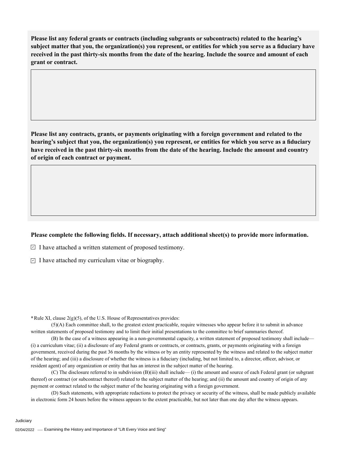**Please list any federal grants or contracts (including subgrants or subcontracts) related to the hearing's subject matter that you, the organization(s) you represent, or entities for which you serve as a fiduciary have received in the past thirty-six months from the date of the hearing. Include the source and amount of each grant or contract.** 

**Please list any contracts, grants, or payments originating with a foreign government and related to the hearing's subject that you, the organization(s) you represent, or entities for which you serve as a fiduciary have received in the past thirty-six months from the date of the hearing. Include the amount and country of origin of each contract or payment.** 

## **Please complete the following fields. If necessary, attach additional sheet(s) to provide more information.**

 $\exists$  I have attached a written statement of proposed testimony.

 $\subseteq$  I have attached my curriculum vitae or biography.

**\***Rule XI, clause 2(g)(5), of the U.S. House of Representatives provides:

(5)(A) Each committee shall, to the greatest extent practicable, require witnesses who appear before it to submit in advance written statements of proposed testimony and to limit their initial presentations to the committee to brief summaries thereof.

(B) In the case of a witness appearing in a non-governmental capacity, a written statement of proposed testimony shall include— (i) a curriculum vitae; (ii) a disclosure of any Federal grants or contracts, or contracts, grants, or payments originating with a foreign government, received during the past 36 months by the witness or by an entity represented by the witness and related to the subject matter of the hearing; and (iii) a disclosure of whether the witness is a fiduciary (including, but not limited to, a director, officer, advisor, or resident agent) of any organization or entity that has an interest in the subject matter of the hearing.

(C) The disclosure referred to in subdivision (B)(iii) shall include— (i) the amount and source of each Federal grant (or subgrant thereof) or contract (or subcontract thereof) related to the subject matter of the hearing; and (ii) the amount and country of origin of any payment or contract related to the subject matter of the hearing originating with a foreign government.

(D) Such statements, with appropriate redactions to protect the privacy or security of the witness, shall be made publicly available in electronic form 24 hours before the witness appears to the extent practicable, but not later than one day after the witness appears.